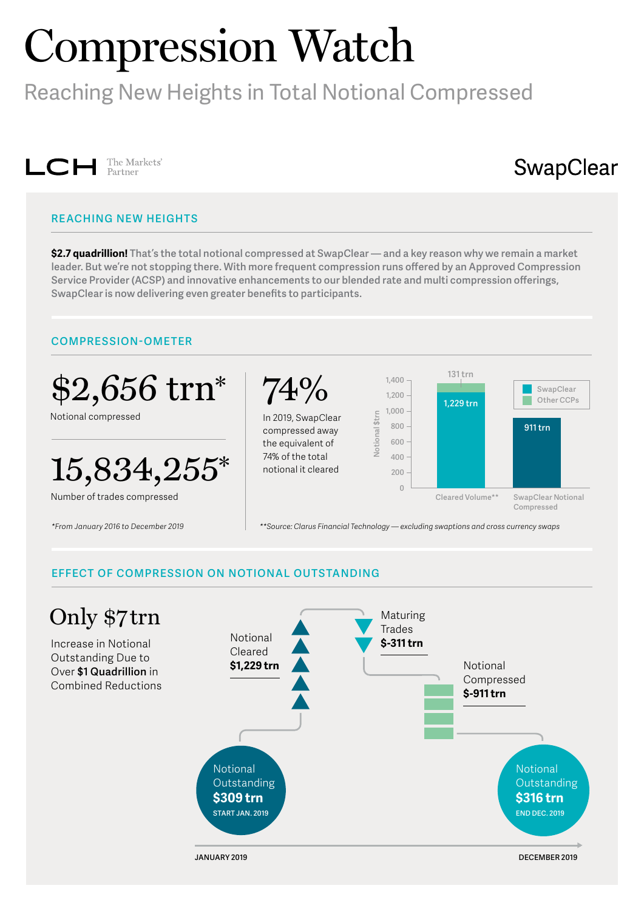# Compression Watch

Reaching New Heights in Total Notional Compressed



# SwapClear

# **REACHING NEW HEIGHTS**

**\$2.7 quadrillion! That's the total notional compressed at SwapClear — and a key reason why we remain a market leader. But we're not stopping there. With more frequent compression runs offered by an Approved Compression Service Provider (ACSP) and innovative enhancements to our blended rate and multi compression offerings, SwapClear is now delivering even greater benefits to participants.**

#### **COMPRESSION-OMETER**



## **EFFECT OF COMPRESSION ON NOTIONAL OUTSTANDING**